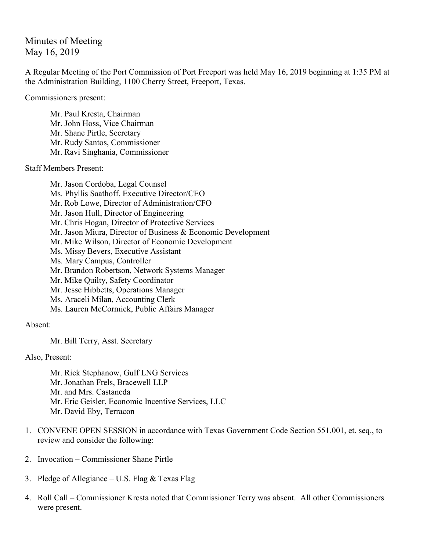Minutes of Meeting May 16, 2019

A Regular Meeting of the Port Commission of Port Freeport was held May 16, 2019 beginning at 1:35 PM at the Administration Building, 1100 Cherry Street, Freeport, Texas.

Commissioners present:

Mr. Paul Kresta, Chairman Mr. John Hoss, Vice Chairman Mr. Shane Pirtle, Secretary Mr. Rudy Santos, Commissioner Mr. Ravi Singhania, Commissioner

Staff Members Present:

Mr. Jason Cordoba, Legal Counsel Ms. Phyllis Saathoff, Executive Director/CEO Mr. Rob Lowe, Director of Administration/CFO Mr. Jason Hull, Director of Engineering Mr. Chris Hogan, Director of Protective Services Mr. Jason Miura, Director of Business & Economic Development Mr. Mike Wilson, Director of Economic Development Ms. Missy Bevers, Executive Assistant Ms. Mary Campus, Controller Mr. Brandon Robertson, Network Systems Manager Mr. Mike Quilty, Safety Coordinator Mr. Jesse Hibbetts, Operations Manager Ms. Araceli Milan, Accounting Clerk Ms. Lauren McCormick, Public Affairs Manager

Absent:

Mr. Bill Terry, Asst. Secretary

Also, Present:

Mr. Rick Stephanow, Gulf LNG Services Mr. Jonathan Frels, Bracewell LLP Mr. and Mrs. Castaneda Mr. Eric Geisler, Economic Incentive Services, LLC Mr. David Eby, Terracon

- 1. CONVENE OPEN SESSION in accordance with Texas Government Code Section 551.001, et. seq., to review and consider the following:
- 2. Invocation Commissioner Shane Pirtle
- 3. Pledge of Allegiance U.S. Flag & Texas Flag
- 4. Roll Call Commissioner Kresta noted that Commissioner Terry was absent. All other Commissioners were present.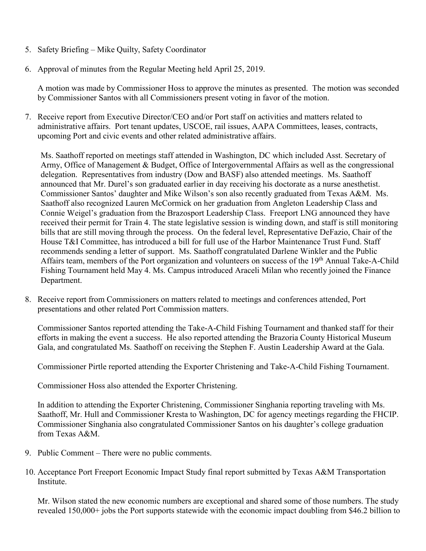- 5. Safety Briefing Mike Quilty, Safety Coordinator
- 6. Approval of minutes from the Regular Meeting held April 25, 2019.

A motion was made by Commissioner Hoss to approve the minutes as presented. The motion was seconded by Commissioner Santos with all Commissioners present voting in favor of the motion.

7. Receive report from Executive Director/CEO and/or Port staff on activities and matters related to administrative affairs. Port tenant updates, USCOE, rail issues, AAPA Committees, leases, contracts, upcoming Port and civic events and other related administrative affairs.

Ms. Saathoff reported on meetings staff attended in Washington, DC which included Asst. Secretary of Army, Office of Management & Budget, Office of Intergovernmental Affairs as well as the congressional delegation. Representatives from industry (Dow and BASF) also attended meetings. Ms. Saathoff announced that Mr. Durel's son graduated earlier in day receiving his doctorate as a nurse anesthetist. Commissioner Santos' daughter and Mike Wilson's son also recently graduated from Texas A&M. Ms. Saathoff also recognized Lauren McCormick on her graduation from Angleton Leadership Class and Connie Weigel's graduation from the Brazosport Leadership Class. Freeport LNG announced they have received their permit for Train 4. The state legislative session is winding down, and staff is still monitoring bills that are still moving through the process. On the federal level, Representative DeFazio, Chair of the House T&I Committee, has introduced a bill for full use of the Harbor Maintenance Trust Fund. Staff recommends sending a letter of support. Ms. Saathoff congratulated Darlene Winkler and the Public Affairs team, members of the Port organization and volunteers on success of the 19<sup>th</sup> Annual Take-A-Child Fishing Tournament held May 4. Ms. Campus introduced Araceli Milan who recently joined the Finance Department.

8. Receive report from Commissioners on matters related to meetings and conferences attended, Port presentations and other related Port Commission matters.

Commissioner Santos reported attending the Take-A-Child Fishing Tournament and thanked staff for their efforts in making the event a success. He also reported attending the Brazoria County Historical Museum Gala, and congratulated Ms. Saathoff on receiving the Stephen F. Austin Leadership Award at the Gala.

Commissioner Pirtle reported attending the Exporter Christening and Take-A-Child Fishing Tournament.

Commissioner Hoss also attended the Exporter Christening.

In addition to attending the Exporter Christening, Commissioner Singhania reporting traveling with Ms. Saathoff, Mr. Hull and Commissioner Kresta to Washington, DC for agency meetings regarding the FHCIP. Commissioner Singhania also congratulated Commissioner Santos on his daughter's college graduation from Texas A&M.

- 9. Public Comment There were no public comments.
- 10. Acceptance Port Freeport Economic Impact Study final report submitted by Texas A&M Transportation Institute.

Mr. Wilson stated the new economic numbers are exceptional and shared some of those numbers. The study revealed 150,000+ jobs the Port supports statewide with the economic impact doubling from \$46.2 billion to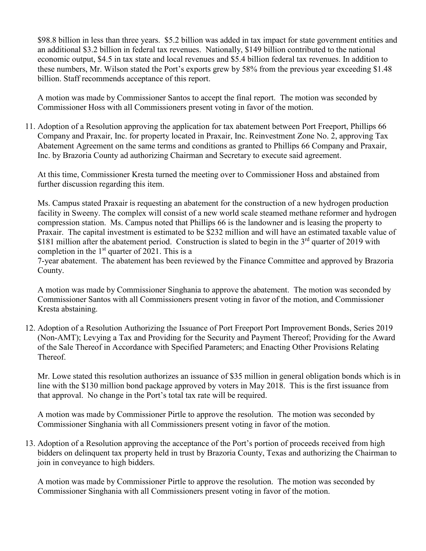\$98.8 billion in less than three years. \$5.2 billion was added in tax impact for state government entities and an additional \$3.2 billion in federal tax revenues. Nationally, \$149 billion contributed to the national economic output, \$4.5 in tax state and local revenues and \$5.4 billion federal tax revenues. In addition to these numbers, Mr. Wilson stated the Port's exports grew by 58% from the previous year exceeding \$1.48 billion. Staff recommends acceptance of this report.

A motion was made by Commissioner Santos to accept the final report. The motion was seconded by Commissioner Hoss with all Commissioners present voting in favor of the motion.

11. Adoption of a Resolution approving the application for tax abatement between Port Freeport, Phillips 66 Company and Praxair, Inc. for property located in Praxair, Inc. Reinvestment Zone No. 2, approving Tax Abatement Agreement on the same terms and conditions as granted to Phillips 66 Company and Praxair, Inc. by Brazoria County ad authorizing Chairman and Secretary to execute said agreement.

At this time, Commissioner Kresta turned the meeting over to Commissioner Hoss and abstained from further discussion regarding this item.

Ms. Campus stated Praxair is requesting an abatement for the construction of a new hydrogen production facility in Sweeny. The complex will consist of a new world scale steamed methane reformer and hydrogen compression station. Ms. Campus noted that Phillips 66 is the landowner and is leasing the property to Praxair. The capital investment is estimated to be \$232 million and will have an estimated taxable value of \$181 million after the abatement period. Construction is slated to begin in the  $3<sup>rd</sup>$  quarter of 2019 with completion in the  $1<sup>st</sup>$  quarter of 2021. This is a

7-year abatement. The abatement has been reviewed by the Finance Committee and approved by Brazoria County.

A motion was made by Commissioner Singhania to approve the abatement. The motion was seconded by Commissioner Santos with all Commissioners present voting in favor of the motion, and Commissioner Kresta abstaining.

12. Adoption of a Resolution Authorizing the Issuance of Port Freeport Port Improvement Bonds, Series 2019 (Non-AMT); Levying a Tax and Providing for the Security and Payment Thereof; Providing for the Award of the Sale Thereof in Accordance with Specified Parameters; and Enacting Other Provisions Relating Thereof.

Mr. Lowe stated this resolution authorizes an issuance of \$35 million in general obligation bonds which is in line with the \$130 million bond package approved by voters in May 2018. This is the first issuance from that approval. No change in the Port's total tax rate will be required.

A motion was made by Commissioner Pirtle to approve the resolution. The motion was seconded by Commissioner Singhania with all Commissioners present voting in favor of the motion.

13. Adoption of a Resolution approving the acceptance of the Port's portion of proceeds received from high bidders on delinquent tax property held in trust by Brazoria County, Texas and authorizing the Chairman to join in conveyance to high bidders.

A motion was made by Commissioner Pirtle to approve the resolution. The motion was seconded by Commissioner Singhania with all Commissioners present voting in favor of the motion.